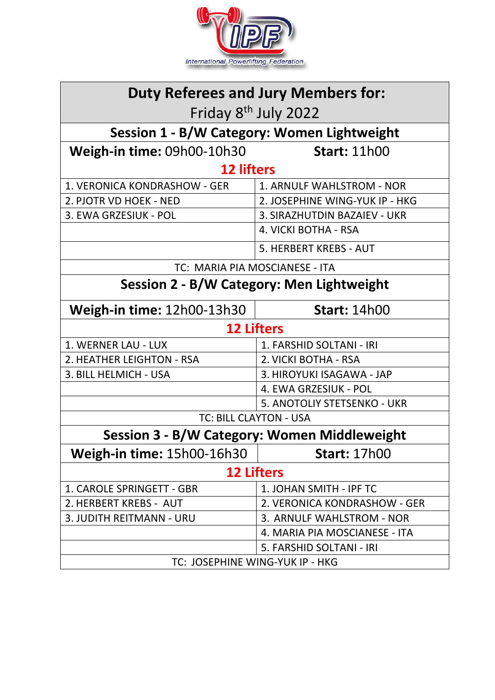

| <b>Duty Referees and Jury Members for:</b>       |                                |  |
|--------------------------------------------------|--------------------------------|--|
| Friday 8 <sup>th</sup> July 2022                 |                                |  |
| Session 1 - B/W Category: Women Lightweight      |                                |  |
| Weigh-in time: 09h00-10h30                       | <b>Start: 11h00</b>            |  |
| <b>12 lifters</b>                                |                                |  |
| 1. VERONICA KONDRASHOW - GER                     | 1. ARNULF WAHLSTROM - NOR      |  |
| 2. PJOTR VD HOEK - NED                           | 2. JOSEPHINE WING-YUK IP - HKG |  |
| 3. EWA GRZESIUK - POL                            | 3. SIRAZHUTDIN BAZAIEV - UKR   |  |
|                                                  | 4. VICKI BOTHA - RSA           |  |
|                                                  | 5. HERBERT KREBS - AUT         |  |
| TC: MARIA PIA MOSCIANESE - ITA                   |                                |  |
| <b>Session 2 - B/W Category: Men Lightweight</b> |                                |  |
| Weigh-in time: 12h00-13h30                       | <b>Start: 14h00</b>            |  |
| <b>12 Lifters</b>                                |                                |  |
| 1. WERNER LAU - LUX                              | 1. FARSHID SOLTANI - IRI       |  |
| 2. HEATHER LEIGHTON - RSA                        | 2. VICKI BOTHA - RSA           |  |
| 3. BILL HELMICH - USA                            | 3. HIROYUKI ISAGAWA - JAP      |  |
|                                                  | 4. EWA GRZESIUK - POL          |  |
|                                                  | 5. ANOTOLIY STETSENKO - UKR    |  |
| <b>TC: BILL CLAYTON - USA</b>                    |                                |  |
| Session 3 - B/W Category: Women Middleweight     |                                |  |
| <b>Weigh-in time: 15h00-16h30</b>                | <b>Start: 17h00</b>            |  |
| <b>12 Lifters</b>                                |                                |  |
| 1. CAROLE SPRINGETT - GBR                        | 1. JOHAN SMITH - IPF TC        |  |
| 2. HERBERT KREBS - AUT                           | 2. VERONICA KONDRASHOW - GER   |  |
| 3. JUDITH REITMANN - URU                         | 3. ARNULF WAHLSTROM - NOR      |  |
|                                                  | 4. MARIA PIA MOSCIANESE - ITA  |  |
|                                                  | 5. FARSHID SOLTANI - IRI       |  |
| TC: JOSEPHINE WING-YUK IP - HKG                  |                                |  |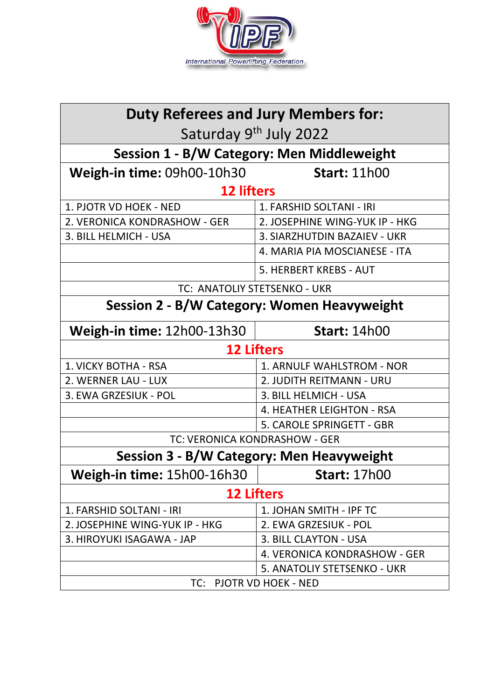

| <b>Duty Referees and Jury Members for:</b>        |                                |  |
|---------------------------------------------------|--------------------------------|--|
| Saturday 9 <sup>th</sup> July 2022                |                                |  |
| <b>Session 1 - B/W Category: Men Middleweight</b> |                                |  |
| Weigh-in time: 09h00-10h30                        | <b>Start: 11h00</b>            |  |
| <b>12 lifters</b>                                 |                                |  |
| 1. PJOTR VD HOEK - NED                            | 1. FARSHID SOLTANI - IRI       |  |
| 2. VERONICA KONDRASHOW - GER                      | 2. JOSEPHINE WING-YUK IP - HKG |  |
| 3. BILL HELMICH - USA                             | 3. SIARZHUTDIN BAZAIEV - UKR   |  |
|                                                   | 4. MARIA PIA MOSCIANESE - ITA  |  |
|                                                   | 5. HERBERT KREBS - AUT         |  |
| TC: ANATOLIY STETSENKO - UKR                      |                                |  |
| Session 2 - B/W Category: Women Heavyweight       |                                |  |
| Weigh-in time: 12h00-13h30                        | <b>Start: 14h00</b>            |  |
| <b>12 Lifters</b>                                 |                                |  |
| 1. VICKY BOTHA - RSA                              | 1. ARNULF WAHLSTROM - NOR      |  |
| 2. WERNER LAU - LUX                               | 2. JUDITH REITMANN - URU       |  |
| 3. EWA GRZESIUK - POL                             | 3. BILL HELMICH - USA          |  |
|                                                   | 4. HEATHER LEIGHTON - RSA      |  |
|                                                   | 5. CAROLE SPRINGETT - GBR      |  |
| TC: VERONICA KONDRASHOW - GER                     |                                |  |
| Session 3 - B/W Category: Men Heavyweight         |                                |  |
| <b>Weigh-in time:</b> 15h00-16h30                 | <b>Start: 17h00</b>            |  |
| <b>12 Lifters</b>                                 |                                |  |
| 1. FARSHID SOLTANI - IRI                          | 1. JOHAN SMITH - IPF TC        |  |
| 2. JOSEPHINE WING-YUK IP - HKG                    | 2. EWA GRZESIUK - POL          |  |
| 3. HIROYUKI ISAGAWA - JAP                         | 3. BILL CLAYTON - USA          |  |
|                                                   | 4. VERONICA KONDRASHOW - GER   |  |
|                                                   | 5. ANATOLIY STETSENKO - UKR    |  |
| TC: PJOTR VD HOEK - NED                           |                                |  |